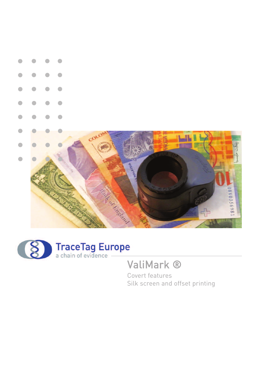



Silk screen and offset printing